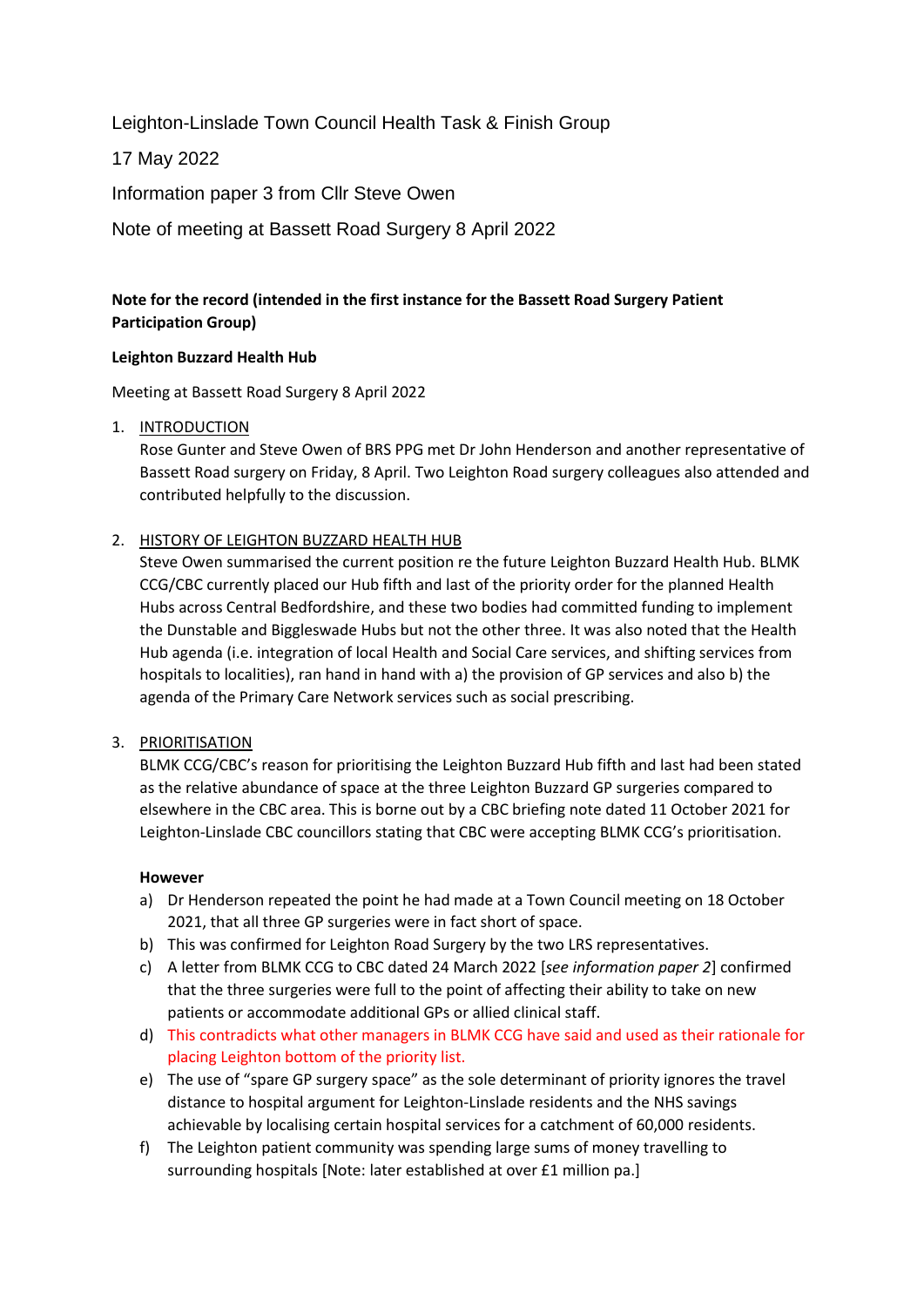Leighton-Linslade Town Council Health Task & Finish Group

17 May 2022

Information paper 3 from Cllr Steve Owen

Note of meeting at Bassett Road Surgery 8 April 2022

# **Note for the record (intended in the first instance for the Bassett Road Surgery Patient Participation Group)**

#### **Leighton Buzzard Health Hub**

Meeting at Bassett Road Surgery 8 April 2022

#### 1. INTRODUCTION

Rose Gunter and Steve Owen of BRS PPG met Dr John Henderson and another representative of Bassett Road surgery on Friday, 8 April. Two Leighton Road surgery colleagues also attended and contributed helpfully to the discussion.

# 2. HISTORY OF LEIGHTON BUZZARD HEALTH HUB

Steve Owen summarised the current position re the future Leighton Buzzard Health Hub. BLMK CCG/CBC currently placed our Hub fifth and last of the priority order for the planned Health Hubs across Central Bedfordshire, and these two bodies had committed funding to implement the Dunstable and Biggleswade Hubs but not the other three. It was also noted that the Health Hub agenda (i.e. integration of local Health and Social Care services, and shifting services from hospitals to localities), ran hand in hand with a) the provision of GP services and also b) the agenda of the Primary Care Network services such as social prescribing.

# 3. PRIORITISATION

BLMK CCG/CBC's reason for prioritising the Leighton Buzzard Hub fifth and last had been stated as the relative abundance of space at the three Leighton Buzzard GP surgeries compared to elsewhere in the CBC area. This is borne out by a CBC briefing note dated 11 October 2021 for Leighton-Linslade CBC councillors stating that CBC were accepting BLMK CCG's prioritisation.

#### **However**

- a) Dr Henderson repeated the point he had made at a Town Council meeting on 18 October 2021, that all three GP surgeries were in fact short of space.
- b) This was confirmed for Leighton Road Surgery by the two LRS representatives.
- c) A letter from BLMK CCG to CBC dated 24 March 2022 [*see information paper 2*] confirmed that the three surgeries were full to the point of affecting their ability to take on new patients or accommodate additional GPs or allied clinical staff.
- d) This contradicts what other managers in BLMK CCG have said and used as their rationale for placing Leighton bottom of the priority list.
- e) The use of "spare GP surgery space" as the sole determinant of priority ignores the travel distance to hospital argument for Leighton-Linslade residents and the NHS savings achievable by localising certain hospital services for a catchment of 60,000 residents.
- f) The Leighton patient community was spending large sums of money travelling to surrounding hospitals [Note: later established at over £1 million pa.]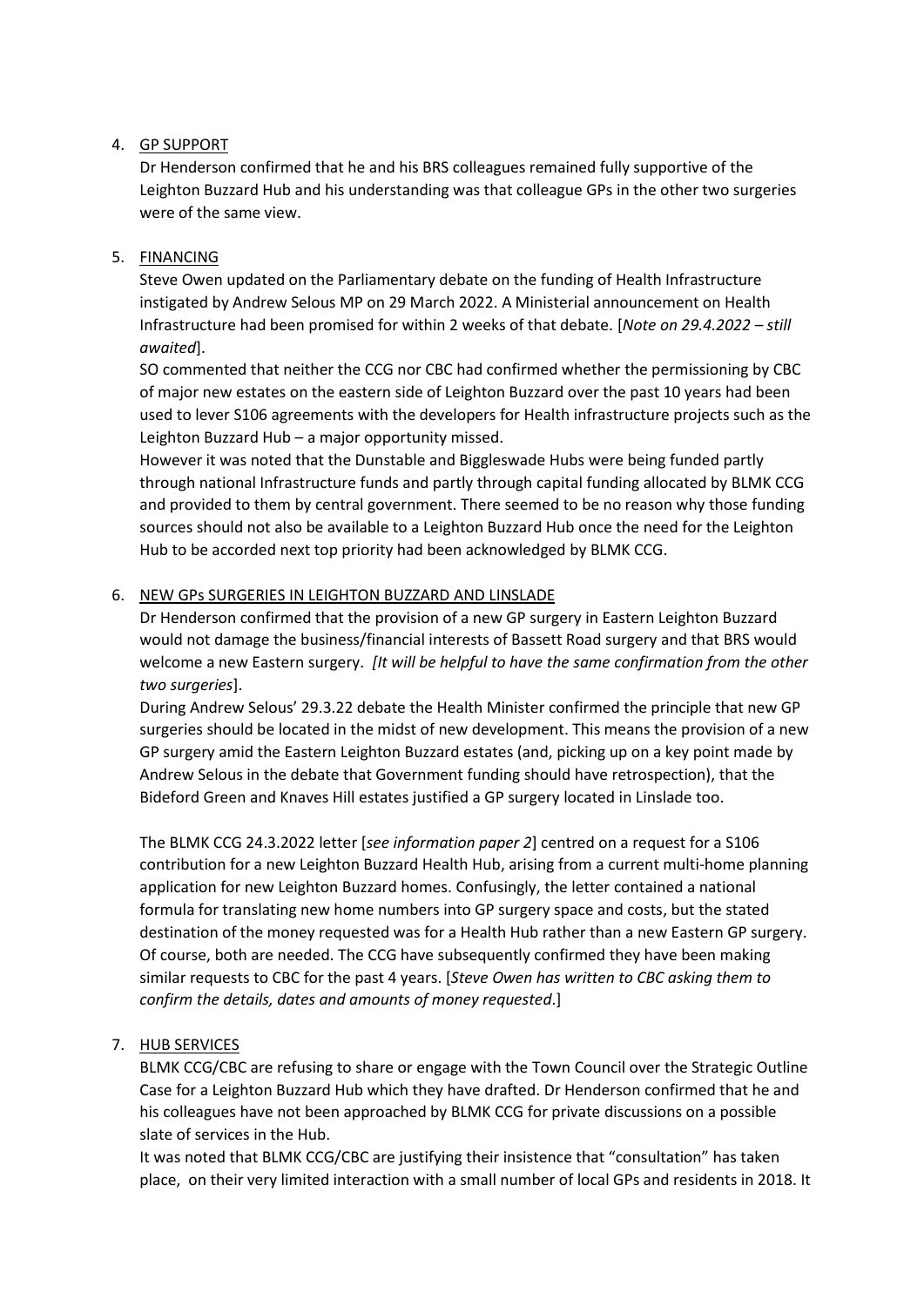### 4. GP SUPPORT

Dr Henderson confirmed that he and his BRS colleagues remained fully supportive of the Leighton Buzzard Hub and his understanding was that colleague GPs in the other two surgeries were of the same view.

### 5. FINANCING

Steve Owen updated on the Parliamentary debate on the funding of Health Infrastructure instigated by Andrew Selous MP on 29 March 2022. A Ministerial announcement on Health Infrastructure had been promised for within 2 weeks of that debate. [*Note on 29.4.2022 – still awaited*].

SO commented that neither the CCG nor CBC had confirmed whether the permissioning by CBC of major new estates on the eastern side of Leighton Buzzard over the past 10 years had been used to lever S106 agreements with the developers for Health infrastructure projects such as the Leighton Buzzard Hub – a major opportunity missed.

However it was noted that the Dunstable and Biggleswade Hubs were being funded partly through national Infrastructure funds and partly through capital funding allocated by BLMK CCG and provided to them by central government. There seemed to be no reason why those funding sources should not also be available to a Leighton Buzzard Hub once the need for the Leighton Hub to be accorded next top priority had been acknowledged by BLMK CCG.

#### 6. NEW GPs SURGERIES IN LEIGHTON BUZZARD AND LINSLADE

Dr Henderson confirmed that the provision of a new GP surgery in Eastern Leighton Buzzard would not damage the business/financial interests of Bassett Road surgery and that BRS would welcome a new Eastern surgery. *[It will be helpful to have the same confirmation from the other two surgeries*].

During Andrew Selous' 29.3.22 debate the Health Minister confirmed the principle that new GP surgeries should be located in the midst of new development. This means the provision of a new GP surgery amid the Eastern Leighton Buzzard estates (and, picking up on a key point made by Andrew Selous in the debate that Government funding should have retrospection), that the Bideford Green and Knaves Hill estates justified a GP surgery located in Linslade too.

The BLMK CCG 24.3.2022 letter [*see information paper 2*] centred on a request for a S106 contribution for a new Leighton Buzzard Health Hub, arising from a current multi-home planning application for new Leighton Buzzard homes. Confusingly, the letter contained a national formula for translating new home numbers into GP surgery space and costs, but the stated destination of the money requested was for a Health Hub rather than a new Eastern GP surgery. Of course, both are needed. The CCG have subsequently confirmed they have been making similar requests to CBC for the past 4 years. [*Steve Owen has written to CBC asking them to confirm the details, dates and amounts of money requested*.]

# 7. HUB SERVICES

BLMK CCG/CBC are refusing to share or engage with the Town Council over the Strategic Outline Case for a Leighton Buzzard Hub which they have drafted. Dr Henderson confirmed that he and his colleagues have not been approached by BLMK CCG for private discussions on a possible slate of services in the Hub.

It was noted that BLMK CCG/CBC are justifying their insistence that "consultation" has taken place, on their very limited interaction with a small number of local GPs and residents in 2018. It